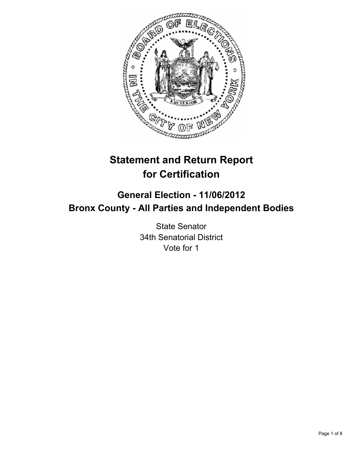

# **Statement and Return Report for Certification**

## **General Election - 11/06/2012 Bronx County - All Parties and Independent Bodies**

State Senator 34th Senatorial District Vote for 1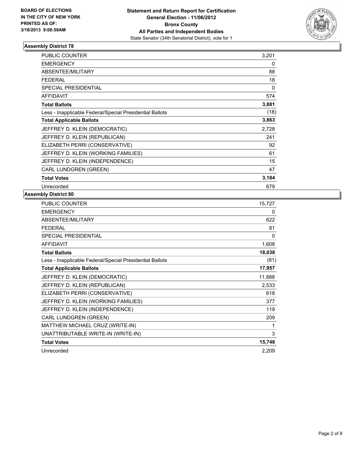

| <b>PUBLIC COUNTER</b>                                    | 3,201 |
|----------------------------------------------------------|-------|
| <b>EMERGENCY</b>                                         | 0     |
| <b>ABSENTEE/MILITARY</b>                                 | 88    |
| <b>FEDERAL</b>                                           | 18    |
| <b>SPECIAL PRESIDENTIAL</b>                              | 0     |
| <b>AFFIDAVIT</b>                                         | 574   |
| <b>Total Ballots</b>                                     | 3,881 |
| Less - Inapplicable Federal/Special Presidential Ballots | (18)  |
| <b>Total Applicable Ballots</b>                          | 3,863 |
| JEFFREY D. KLEIN (DEMOCRATIC)                            | 2,728 |
| JEFFREY D. KLEIN (REPUBLICAN)                            | 241   |
| ELIZABETH PERRI (CONSERVATIVE)                           | 92    |
| JEFFREY D. KLEIN (WORKING FAMILIES)                      | 61    |
| JEFFREY D. KLEIN (INDEPENDENCE)                          | 15    |
| <b>CARL LUNDGREN (GREEN)</b>                             | 47    |
| <b>Total Votes</b>                                       | 3,184 |
| Unrecorded                                               | 679   |

| <b>PUBLIC COUNTER</b>                                    | 15,727 |
|----------------------------------------------------------|--------|
| <b>EMERGENCY</b>                                         | 0      |
| ABSENTEE/MILITARY                                        | 622    |
| <b>FEDERAL</b>                                           | 81     |
| <b>SPECIAL PRESIDENTIAL</b>                              | 0      |
| <b>AFFIDAVIT</b>                                         | 1,608  |
| <b>Total Ballots</b>                                     | 18,038 |
| Less - Inapplicable Federal/Special Presidential Ballots | (81)   |
| <b>Total Applicable Ballots</b>                          | 17,957 |
| JEFFREY D. KLEIN (DEMOCRATIC)                            | 11,888 |
| JEFFREY D. KLEIN (REPUBLICAN)                            | 2,533  |
| ELIZABETH PERRI (CONSERVATIVE)                           | 618    |
| JEFFREY D. KLEIN (WORKING FAMILIES)                      | 377    |
| JEFFREY D. KLEIN (INDEPENDENCE)                          | 119    |
| CARL LUNDGREN (GREEN)                                    | 209    |
| MATTHEW MICHAEL CRUZ (WRITE-IN)                          | 1      |
| UNATTRIBUTABLE WRITE-IN (WRITE-IN)                       | 3      |
| <b>Total Votes</b>                                       | 15,748 |
| Unrecorded                                               | 2,209  |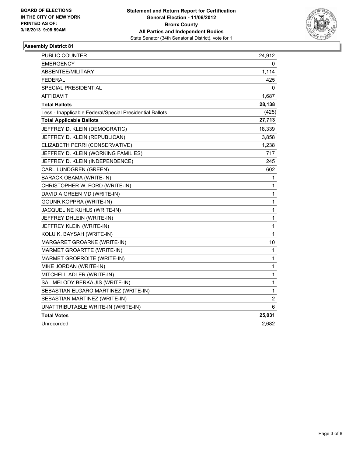

| <b>PUBLIC COUNTER</b>                                    | 24,912       |
|----------------------------------------------------------|--------------|
| EMERGENCY                                                | 0            |
| ABSENTEE/MILITARY                                        | 1,114        |
| <b>FEDERAL</b>                                           | 425          |
| <b>SPECIAL PRESIDENTIAL</b>                              | 0            |
| <b>AFFIDAVIT</b>                                         | 1,687        |
| <b>Total Ballots</b>                                     | 28,138       |
| Less - Inapplicable Federal/Special Presidential Ballots | (425)        |
| <b>Total Applicable Ballots</b>                          | 27,713       |
| JEFFREY D. KLEIN (DEMOCRATIC)                            | 18,339       |
| JEFFREY D. KLEIN (REPUBLICAN)                            | 3,858        |
| ELIZABETH PERRI (CONSERVATIVE)                           | 1,238        |
| JEFFREY D. KLEIN (WORKING FAMILIES)                      | 717          |
| JEFFREY D. KLEIN (INDEPENDENCE)                          | 245          |
| CARL LUNDGREN (GREEN)                                    | 602          |
| <b>BARACK OBAMA (WRITE-IN)</b>                           | 1            |
| CHRISTOPHER W. FORD (WRITE-IN)                           | 1            |
| DAVID A GREEN MD (WRITE-IN)                              | 1            |
| <b>GOUNR KOPPRA (WRITE-IN)</b>                           | 1            |
| JACQUELINE KUHLS (WRITE-IN)                              | 1            |
| JEFFREY DHLEIN (WRITE-IN)                                | 1            |
| JEFFREY KLEIN (WRITE-IN)                                 | $\mathbf{1}$ |
| KOLU K. BAYSAH (WRITE-IN)                                | $\mathbf{1}$ |
| MARGARET GROARKE (WRITE-IN)                              | 10           |
| MARMET GROARTTE (WRITE-IN)                               | 1            |
| MARMET GROPROITE (WRITE-IN)                              | 1            |
| MIKE JORDAN (WRITE-IN)                                   | $\mathbf{1}$ |
| MITCHELL ADLER (WRITE-IN)                                | $\mathbf{1}$ |
| SAL MELODY BERKAUIS (WRITE-IN)                           | 1            |
| SEBASTIAN ELGARO MARTINEZ (WRITE-IN)                     | 1            |
| SEBASTIAN MARTINEZ (WRITE-IN)                            | 2            |
| UNATTRIBUTABLE WRITE-IN (WRITE-IN)                       | 6            |
| <b>Total Votes</b>                                       | 25,031       |
| Unrecorded                                               | 2,682        |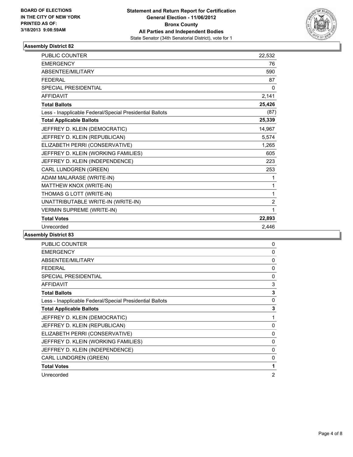

| PUBLIC COUNTER                                           | 22,532         |
|----------------------------------------------------------|----------------|
| <b>EMERGENCY</b>                                         | 76             |
| ABSENTEE/MILITARY                                        | 590            |
| <b>FFDFRAL</b>                                           | 87             |
| <b>SPECIAL PRESIDENTIAL</b>                              | 0              |
| <b>AFFIDAVIT</b>                                         | 2,141          |
| <b>Total Ballots</b>                                     | 25,426         |
| Less - Inapplicable Federal/Special Presidential Ballots | (87)           |
| <b>Total Applicable Ballots</b>                          | 25,339         |
| JEFFREY D. KLEIN (DEMOCRATIC)                            | 14,967         |
| JEFFREY D. KLEIN (REPUBLICAN)                            | 5,574          |
| ELIZABETH PERRI (CONSERVATIVE)                           | 1,265          |
| JEFFREY D. KLEIN (WORKING FAMILIES)                      | 605            |
| JEFFREY D. KLEIN (INDEPENDENCE)                          | 223            |
| CARL LUNDGREN (GREEN)                                    | 253            |
| ADAM MALARASE (WRITE-IN)                                 | 1              |
| MATTHEW KNOX (WRITE-IN)                                  | 1              |
| THOMAS G LOTT (WRITE-IN)                                 | 1              |
| UNATTRIBUTABLE WRITE-IN (WRITE-IN)                       | $\overline{2}$ |
| <b>VERMIN SUPREME (WRITE-IN)</b>                         | 1              |
| <b>Total Votes</b>                                       | 22,893         |
| Unrecorded                                               | 2.446          |

| <b>PUBLIC COUNTER</b>                                    | 0              |
|----------------------------------------------------------|----------------|
| <b>EMERGENCY</b>                                         | 0              |
| <b>ABSENTEE/MILITARY</b>                                 | $\mathbf{0}$   |
| <b>FEDERAL</b>                                           | 0              |
| <b>SPECIAL PRESIDENTIAL</b>                              | 0              |
| <b>AFFIDAVIT</b>                                         | 3              |
| <b>Total Ballots</b>                                     | 3              |
| Less - Inapplicable Federal/Special Presidential Ballots | 0              |
| <b>Total Applicable Ballots</b>                          | 3              |
| JEFFREY D. KLEIN (DEMOCRATIC)                            | 1              |
| JEFFREY D. KLEIN (REPUBLICAN)                            | $\mathbf{0}$   |
| ELIZABETH PERRI (CONSERVATIVE)                           | 0              |
| JEFFREY D. KLEIN (WORKING FAMILIES)                      | 0              |
| JEFFREY D. KLEIN (INDEPENDENCE)                          | $\mathbf{0}$   |
| <b>CARL LUNDGREN (GREEN)</b>                             | 0              |
| <b>Total Votes</b>                                       | 1              |
| Unrecorded                                               | $\overline{2}$ |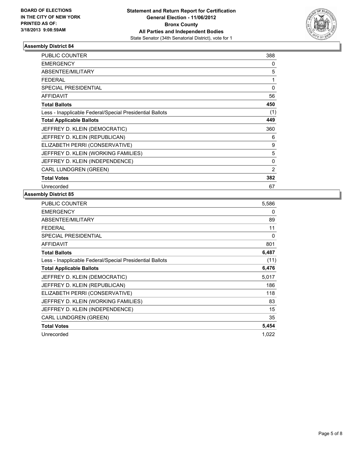

| <b>PUBLIC COUNTER</b>                                    | 388      |
|----------------------------------------------------------|----------|
| <b>EMERGENCY</b>                                         | 0        |
| ABSENTEE/MILITARY                                        | 5        |
| <b>FEDERAL</b>                                           | 1        |
| <b>SPECIAL PRESIDENTIAL</b>                              | $\Omega$ |
| <b>AFFIDAVIT</b>                                         | 56       |
| <b>Total Ballots</b>                                     | 450      |
| Less - Inapplicable Federal/Special Presidential Ballots | (1)      |
| <b>Total Applicable Ballots</b>                          | 449      |
| JEFFREY D. KLEIN (DEMOCRATIC)                            | 360      |
| JEFFREY D. KLEIN (REPUBLICAN)                            | 6        |
| ELIZABETH PERRI (CONSERVATIVE)                           | 9        |
| JEFFREY D. KLEIN (WORKING FAMILIES)                      | 5        |
| JEFFREY D. KLEIN (INDEPENDENCE)                          | $\Omega$ |
| <b>CARL LUNDGREN (GREEN)</b>                             | 2        |
| <b>Total Votes</b>                                       | 382      |
| Unrecorded                                               | 67       |

| <b>PUBLIC COUNTER</b>                                    | 5,586    |
|----------------------------------------------------------|----------|
| <b>EMERGENCY</b>                                         | 0        |
| ABSENTEE/MILITARY                                        | 89       |
| FEDERAL                                                  | 11       |
| <b>SPECIAL PRESIDENTIAL</b>                              | $\Omega$ |
| <b>AFFIDAVIT</b>                                         | 801      |
| <b>Total Ballots</b>                                     | 6,487    |
| Less - Inapplicable Federal/Special Presidential Ballots | (11)     |
| <b>Total Applicable Ballots</b>                          | 6,476    |
| JEFFREY D. KLEIN (DEMOCRATIC)                            | 5,017    |
| JEFFREY D. KLEIN (REPUBLICAN)                            | 186      |
| ELIZABETH PERRI (CONSERVATIVE)                           | 118      |
| JEFFREY D. KLEIN (WORKING FAMILIES)                      | 83       |
| JEFFREY D. KLEIN (INDEPENDENCE)                          | 15       |
| <b>CARL LUNDGREN (GREEN)</b>                             | 35       |
| <b>Total Votes</b>                                       | 5,454    |
| Unrecorded                                               | 1,022    |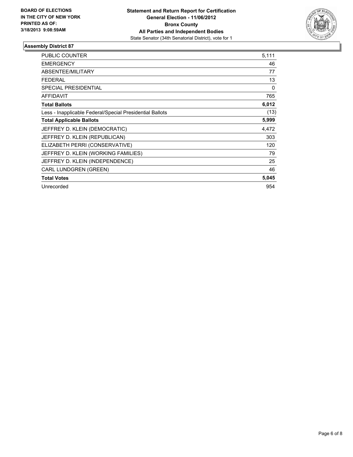

| <b>PUBLIC COUNTER</b>                                    | 5,111 |
|----------------------------------------------------------|-------|
| <b>EMERGENCY</b>                                         | 46    |
| ABSENTEE/MILITARY                                        | 77    |
| <b>FEDERAL</b>                                           | 13    |
| <b>SPECIAL PRESIDENTIAL</b>                              | 0     |
| <b>AFFIDAVIT</b>                                         | 765   |
| <b>Total Ballots</b>                                     | 6,012 |
| Less - Inapplicable Federal/Special Presidential Ballots | (13)  |
| <b>Total Applicable Ballots</b>                          | 5,999 |
| JEFFREY D. KLEIN (DEMOCRATIC)                            | 4,472 |
| JEFFREY D. KLEIN (REPUBLICAN)                            | 303   |
| ELIZABETH PERRI (CONSERVATIVE)                           | 120   |
| JEFFREY D. KLEIN (WORKING FAMILIES)                      | 79    |
| JEFFREY D. KLEIN (INDEPENDENCE)                          | 25    |
| CARL LUNDGREN (GREEN)                                    | 46    |
| <b>Total Votes</b>                                       | 5,045 |
| Unrecorded                                               | 954   |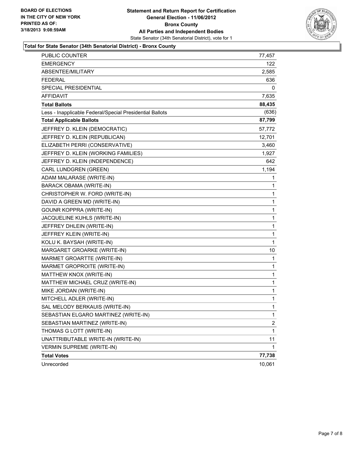

#### **Total for State Senator (34th Senatorial District) - Bronx County**

| PUBLIC COUNTER                                           | 77,457       |
|----------------------------------------------------------|--------------|
| <b>EMERGENCY</b>                                         | 122          |
| ABSENTEE/MILITARY                                        | 2,585        |
| <b>FEDERAL</b>                                           | 636          |
| SPECIAL PRESIDENTIAL                                     | 0            |
| <b>AFFIDAVIT</b>                                         | 7,635        |
| <b>Total Ballots</b>                                     | 88,435       |
| Less - Inapplicable Federal/Special Presidential Ballots | (636)        |
| <b>Total Applicable Ballots</b>                          | 87,799       |
| JEFFREY D. KLEIN (DEMOCRATIC)                            | 57,772       |
| JEFFREY D. KLEIN (REPUBLICAN)                            | 12,701       |
| ELIZABETH PERRI (CONSERVATIVE)                           | 3,460        |
| JEFFREY D. KLEIN (WORKING FAMILIES)                      | 1,927        |
| JEFFREY D. KLEIN (INDEPENDENCE)                          | 642          |
| CARL LUNDGREN (GREEN)                                    | 1,194        |
| ADAM MALARASE (WRITE-IN)                                 | 1            |
| BARACK OBAMA (WRITE-IN)                                  | 1            |
| CHRISTOPHER W. FORD (WRITE-IN)                           | 1            |
| DAVID A GREEN MD (WRITE-IN)                              | 1            |
| <b>GOUNR KOPPRA (WRITE-IN)</b>                           | 1            |
| JACQUELINE KUHLS (WRITE-IN)                              | 1            |
| JEFFREY DHLEIN (WRITE-IN)                                | 1            |
| JEFFREY KLEIN (WRITE-IN)                                 | 1            |
| KOLU K. BAYSAH (WRITE-IN)                                | 1            |
| MARGARET GROARKE (WRITE-IN)                              | 10           |
| MARMET GROARTTE (WRITE-IN)                               | 1            |
| MARMET GROPROITE (WRITE-IN)                              | 1            |
| MATTHEW KNOX (WRITE-IN)                                  | 1            |
| MATTHEW MICHAEL CRUZ (WRITE-IN)                          | 1            |
| MIKE JORDAN (WRITE-IN)                                   | 1            |
| MITCHELL ADLER (WRITE-IN)                                | 1            |
| SAL MELODY BERKAUIS (WRITE-IN)                           | 1            |
| SEBASTIAN ELGARO MARTINEZ (WRITE-IN)                     | 1            |
| SEBASTIAN MARTINEZ (WRITE-IN)                            | $\mathbf{2}$ |
| THOMAS G LOTT (WRITE-IN)                                 | 1            |
| UNATTRIBUTABLE WRITE-IN (WRITE-IN)                       | 11           |
| <b>VERMIN SUPREME (WRITE-IN)</b>                         | 1            |
| <b>Total Votes</b>                                       | 77,738       |
| Unrecorded                                               | 10,061       |